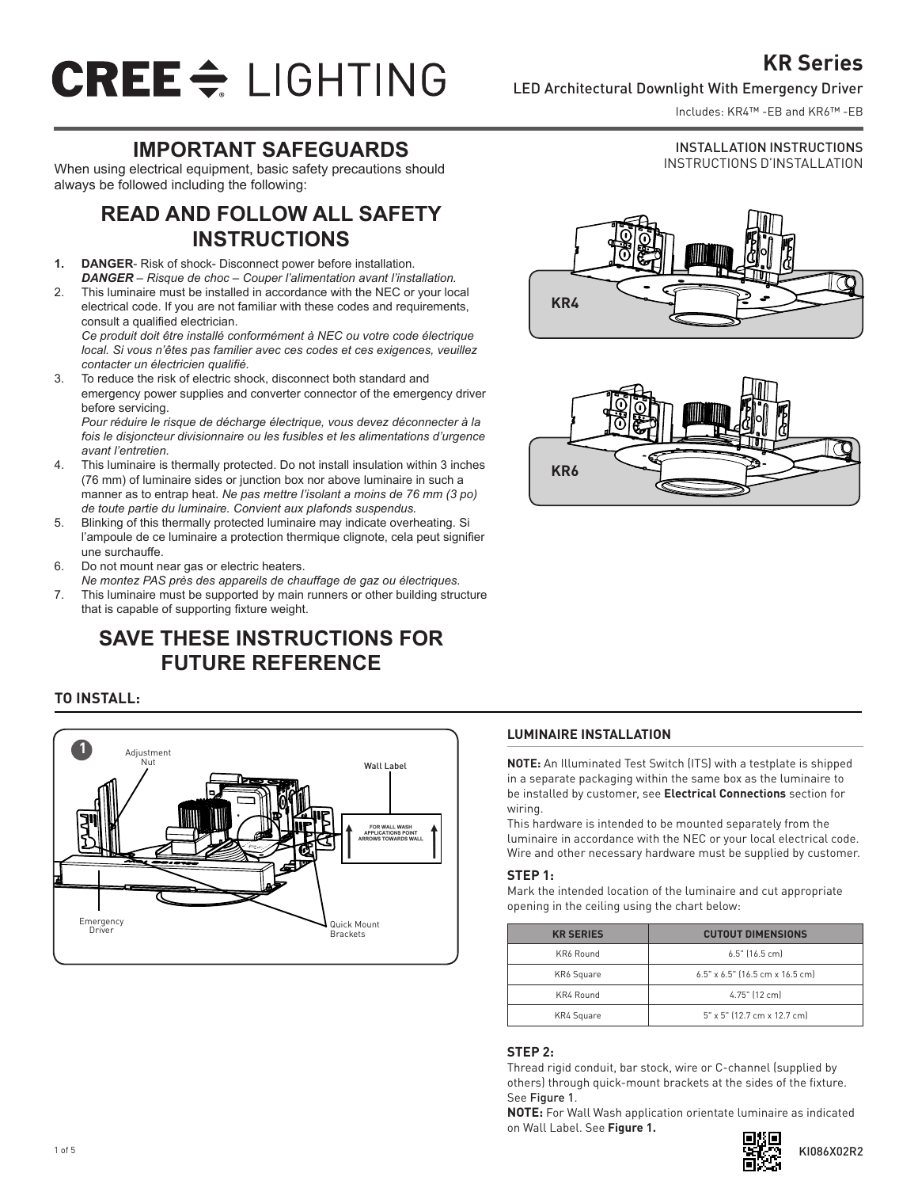# **CREE <del>C</del>** LIGHTING

#### LED Architectural Downlight With Emergency Driver

Includes: KR4™ -EB and KR6™ -EB

**KR Series**

### INSTALLATION INSTRUCTIONS

INSTRUCTIONS D'INSTALLATION

# **IMPORTANT SAFEGUARDS**

When using electrical equipment, basic safety precautions should always be followed including the following:

# **READ AND FOLLOW ALL SAFETY INSTRUCTIONS**

- **1. DANGER** Risk of shock- Disconnect power before installation. *DANGER – Risque de choc – Couper l'alimentation avant l'installation.*
- 2. This luminaire must be installed in accordance with the NEC or your local electrical code. If you are not familiar with these codes and requirements, consult a qualified electrician.

*Ce produit doit être installé conformément à NEC ou votre code électrique local. Si vous n'êtes pas familier avec ces codes et ces exigences, veuillez contacter un électricien qualifié.*

3. To reduce the risk of electric shock, disconnect both standard and emergency power supplies and converter connector of the emergency driver before servicing.

Pour réduire le risque de décharge électrique, vous devez déconnecter à la *fois le disjoncteur divisionnaire ou les fusibles et les alimentations d'urgence avant l'entretien.*

- 4. This luminaire is thermally protected. Do not install insulation within 3 inches (76 mm) of luminaire sides or junction box nor above luminaire in such a manner as to entrap heat. *Ne pas mettre l'isolant a moins de 76 mm (3 po) de toute partie du luminaire. Convient aux plafonds suspendus.*
- 5. Blinking of this thermally protected luminaire may indicate overheating. Si l'ampoule de ce luminaire a protection thermique clignote, cela peut signifier une surchauffe.
- 6. Do not mount near gas or electric heaters.
- *Ne montez PAS près des appareils de chauffage de gaz ou électriques.*
- 7. This luminaire must be supported by main runners or other building structure that is capable of supporting fixture weight.

# **SAVE THESE INSTRUCTIONS FOR FUTURE REFERENCE**





#### **TO INSTALL:**



#### **LUMINAIRE INSTALLATION**

**NOTE:** An Illuminated Test Switch (ITS) with a testplate is shipped in a separate packaging within the same box as the luminaire to be installed by customer, see **Electrical Connections** section for wiring.

This hardware is intended to be mounted separately from the luminaire in accordance with the NEC or your local electrical code. Wire and other necessary hardware must be supplied by customer.

#### **STEP 1:**

Mark the intended location of the luminaire and cut appropriate opening in the ceiling using the chart below:

| <b>KR SERIES</b> | <b>CUTOUT DIMENSIONS</b>        |
|------------------|---------------------------------|
| KR6 Round        | 6.5" (16.5 cm)                  |
| KR6 Square       | 6.5" x 6.5" (16.5 cm x 16.5 cm) |
| KR4 Round        | 4.75" (12 cm)                   |
| KR4 Square       | 5" x 5" (12.7 cm x 12.7 cm)     |

#### **STEP 2:**

Thread rigid conduit, bar stock, wire or C-channel (supplied by others) through quick-mount brackets at the sides of the fixture. See Figure 1.

**NOTE:** For Wall Wash application orientate luminaire as indicated on Wall Label. See **Figure 1.** 

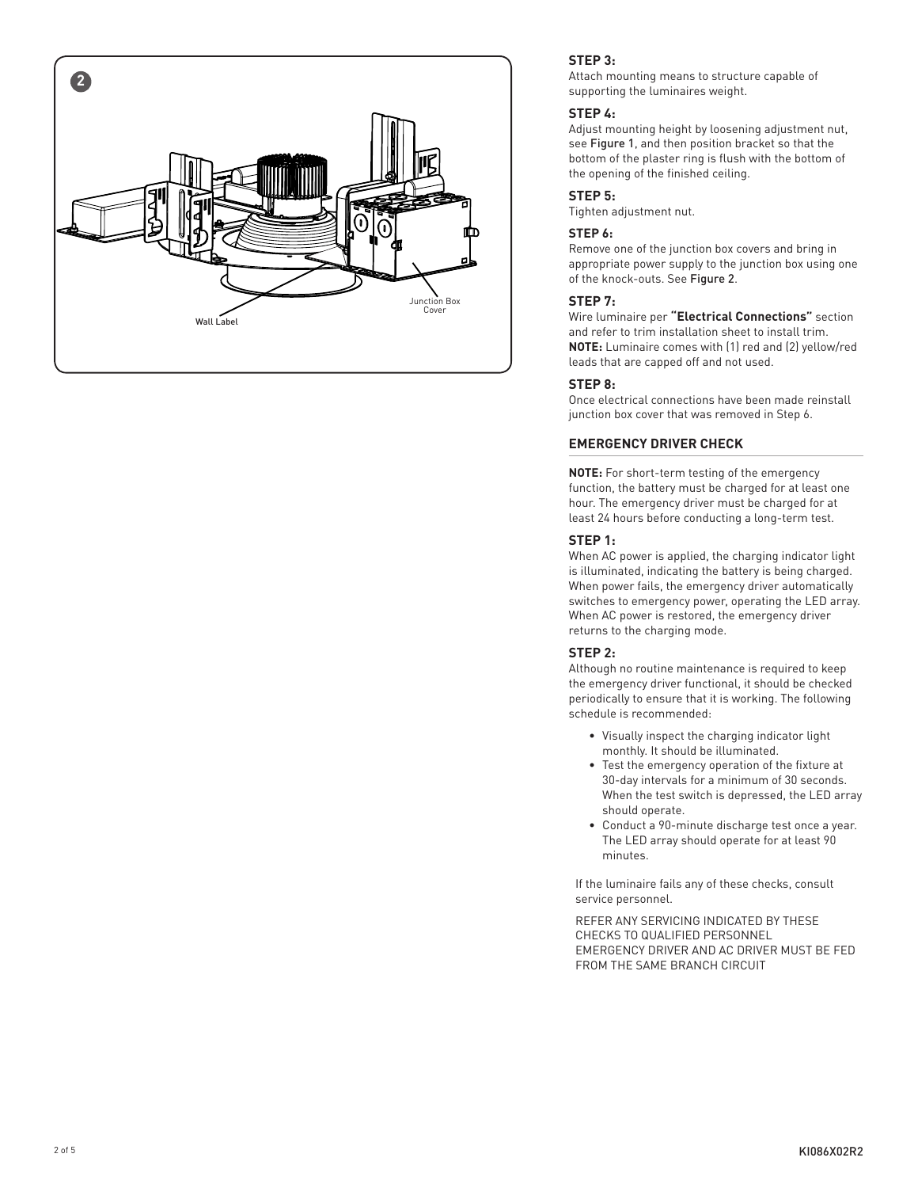

#### **STEP 3:**

Attach mounting means to structure capable of supporting the luminaires weight.

#### **STEP 4:**

Adjust mounting height by loosening adjustment nut, see Figure 1, and then position bracket so that the bottom of the plaster ring is flush with the bottom of the opening of the finished ceiling.

#### **STEP 5:**

Tighten adjustment nut.

#### **STEP 6:**

Remove one of the junction box covers and bring in appropriate power supply to the junction box using one of the knock-outs. See Figure 2.

#### **STEP 7:**

Wire luminaire per **"Electrical Connections"** section and refer to trim installation sheet to install trim. **NOTE:** Luminaire comes with (1) red and (2) yellow/red leads that are capped off and not used.

#### **STEP 8:**

Once electrical connections have been made reinstall junction box cover that was removed in Step 6.

#### **EMERGENCY DRIVER CHECK**

**NOTE:** For short-term testing of the emergency function, the battery must be charged for at least one hour. The emergency driver must be charged for at least 24 hours before conducting a long-term test.

#### **STEP 1:**

When AC power is applied, the charging indicator light is illuminated, indicating the battery is being charged. When power fails, the emergency driver automatically switches to emergency power, operating the LED array. When AC power is restored, the emergency driver returns to the charging mode.

#### **STEP 2:**

Although no routine maintenance is required to keep the emergency driver functional, it should be checked periodically to ensure that it is working. The following schedule is recommended: • Visually inspect the charging indicator light

- monthly. It should be illuminated.
- Test the emergency operation of the fixture at 30-day intervals for a minimum of 30 seconds. When the test switch is depressed, the LED array should operate.
- Conduct a 90-minute discharge test once a year. The LED array should operate for at least 90 minutes.

If the luminaire fails any of these checks, consult service personnel.

REFER ANY SERVICING INDICATED BY THESE CHECKS TO QUALIFIED PERSONNEL EMERGENCY DRIVER AND AC DRIVER MUST BE FED FROM THE SAME BRANCH CIRCUIT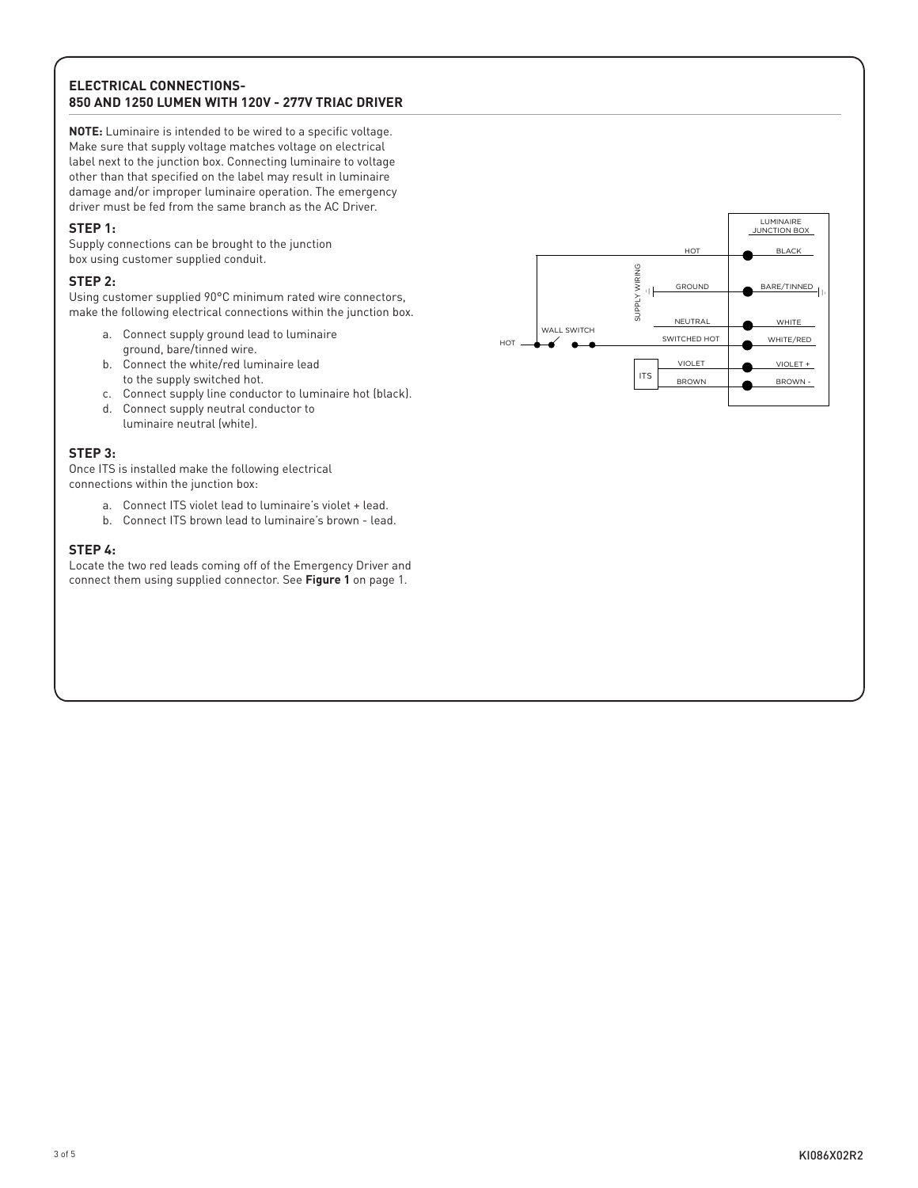#### **ELECTRICAL CONNECTIONS-850 AND 1250 LUMEN WITH 120V - 277V TRIAC DRIVER**

**NOTE:** Luminaire is intended to be wired to a specific voltage. Make sure that supply voltage matches voltage on electrical label next to the junction box. Connecting luminaire to voltage other than that specified on the label may result in luminaire damage and/or improper luminaire operation. The emergency driver must be fed from the same branch as the AC Driver.

#### **STEP 1:**

Supply connections can be brought to the junction box using customer supplied conduit.

#### **STEP 2:**

Using customer supplied 90°C minimum rated wire connectors, make the following electrical connections within the junction box.

- a. Connect supply ground lead to luminaire ground, bare/tinned wire.
- b. Connect the white/red luminaire lead to the supply switched hot.
- c. Connect supply line conductor to luminaire hot (black).
- d. Connect supply neutral conductor to luminaire neutral (white).

#### **STEP 3:**

Once ITS is installed make the following electrical connections within the junction box:

- a. Connect ITS violet lead to luminaire's violet + lead.
- b. Connect ITS brown lead to luminaire's brown lead.

#### **STEP 4:**

Locate the two red leads coming off of the Emergency Driver and connect them using supplied connector. See **Figure 1** on page 1.

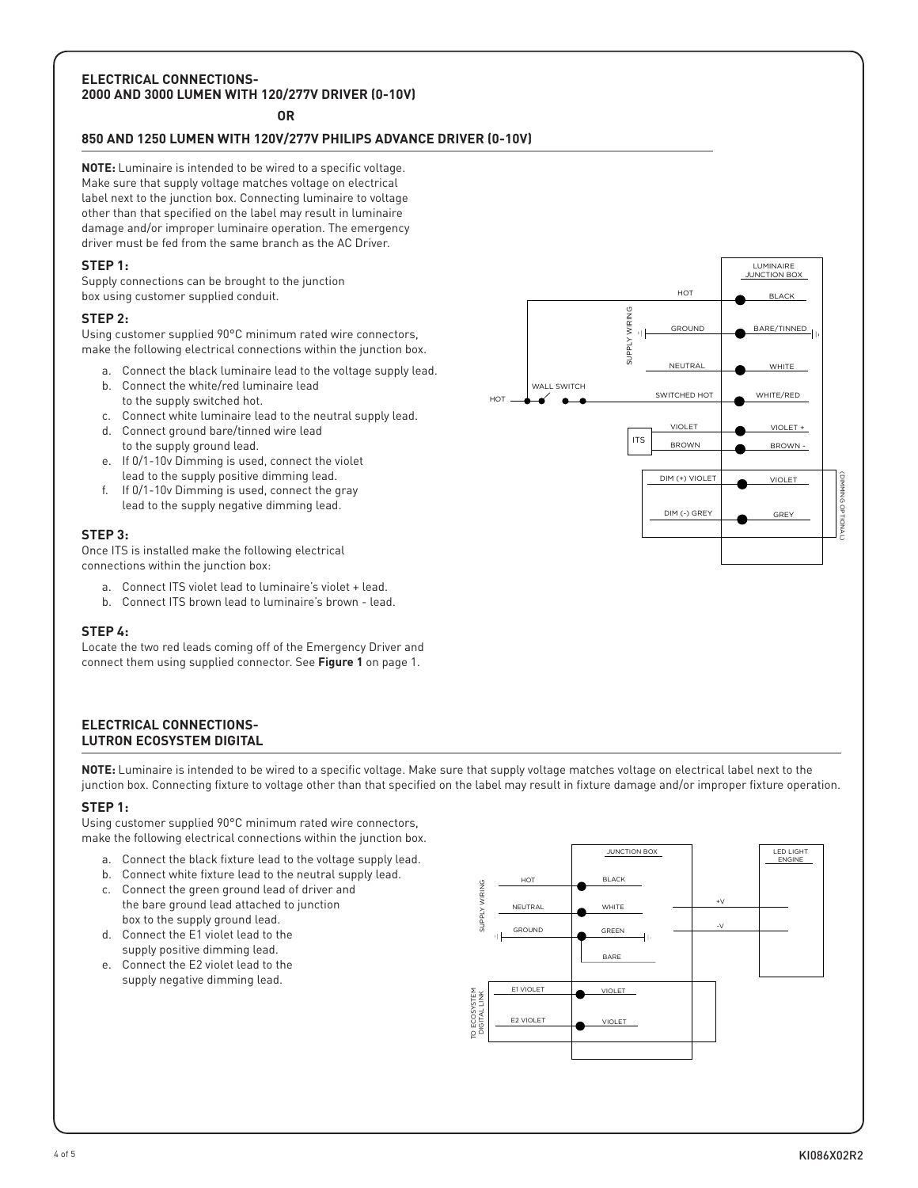#### **ELECTRICAL CONNECTIONS-2000 AND 3000 LUMEN WITH 120/277V DRIVER (0-10V)**

**OR**

#### **850 AND 1250 LUMEN WITH 120V/277V PHILIPS ADVANCE DRIVER (0-10V)**

**NOTE:** Luminaire is intended to be wired to a specific voltage. Make sure that supply voltage matches voltage on electrical label next to the junction box. Connecting luminaire to voltage other than that specified on the label may result in luminaire damage and/or improper luminaire operation. The emergency driver must be fed from the same branch as the AC Driver.

#### **STEP 1:**

Supply connections can be brought to the junction box using customer supplied conduit.

#### **STEP 2:**

Using customer supplied 90°C minimum rated wire connectors, make the following electrical connections within the junction box.

- a. Connect the black luminaire lead to the voltage supply lead.
- b. Connect the white/red luminaire lead to the supply switched hot.
- c. Connect white luminaire lead to the neutral supply lead.
- d. Connect ground bare/tinned wire lead to the supply ground lead.
- e. If 0/1-10v Dimming is used, connect the violet lead to the supply positive dimming lead.
- f. If 0/1-10v Dimming is used, connect the gray lead to the supply negative dimming lead.

#### **STEP 3:**

Once ITS is installed make the following electrical connections within the junction box:

- a. Connect ITS violet lead to luminaire's violet + lead.
- b. Connect ITS brown lead to luminaire's brown lead.

#### **STEP 4:**

Locate the two red leads coming off of the Emergency Driver and connect them using supplied connector. See **Figure 1** on page 1.

#### **ELECTRICAL CONNECTIONS-LUTRON ECOSYSTEM DIGITAL**

**NOTE:** Luminaire is intended to be wired to a specific voltage. Make sure that supply voltage matches voltage on electrical label next to the junction box. Connecting fixture to voltage other than that specified on the label may result in fixture damage and/or improper fixture operation.

#### **STEP 1:**

Using customer supplied 90°C minimum rated wire connectors, make the following electrical connections within the junction box.

- a. Connect the black fixture lead to the voltage supply lead.
- b. Connect white fixture lead to the neutral supply lead.
- c. Connect the green ground lead of driver and the bare ground lead attached to junction box to the supply ground lead.
- d. Connect the E1 violet lead to the supply positive dimming lead.
- e. Connect the E2 violet lead to the supply negative dimming lead.